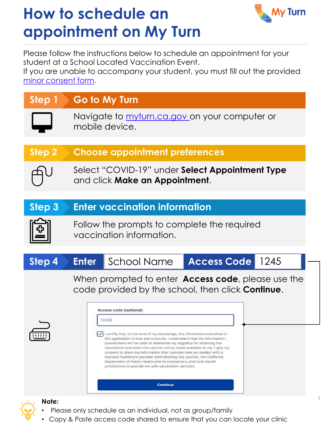

Please follow the instructions below to schedule an appointment for your student at a School Located Vaccination Event.

If you are unable to accompany your student, you must fill out the provided [minor consent form](#page-3-0).

### **Step 1 Go to My Turn** Navigate to [myturn.ca.gov o](myturn.ca.gov)n your computer or mobile device.

#### **Step 2 Choose appointment preferences**

Select "COVID-19" under **Select Appointment Type**  and click **Make an Appointment**.

#### **Step 3 Enter vaccination information**



Follow the prompts to complete the required vaccination information.



When prompted to enter **Access code**, please use the code provided by the school, then click **Continue**.



Access code (optional) 12345  $\boxed{\checkmark}$  I certify that, to the best of my knowledge, the information submitted in this application is true and accurate. I understand that the information I provide here will be used to determine my eligibility for receiving the vaccination and when the vaccine will be made available to me. I give my consent to share my information that I provide here as needed with a licensed healthcare provider administering the vaccine, the California Department of Public Health and its contractors, and local health jurisdictions to provide me with vaccination services. Continue

**Note:**

- Please only schedule as an individual, not as group/family
- Copy & Paste access code shared to ensure that you can locate your clinic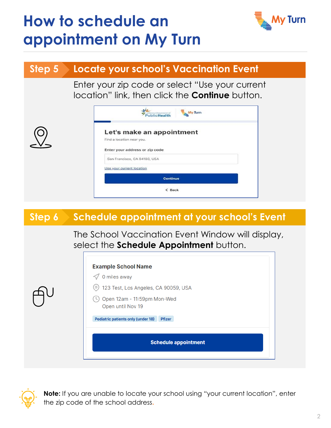

#### **Step 5 Locate your school's Vaccination Event**

Enter your zip code or select "Use your current location" link, then click the **Continue** button.

|                           | Let's make an appointment      |                 |  |
|---------------------------|--------------------------------|-----------------|--|
| Find a location near you. |                                |                 |  |
|                           | Enter your address or zip code |                 |  |
|                           | San Francisco, CA 94103, USA   |                 |  |
| Use your current location |                                |                 |  |
|                           |                                | <b>Continue</b> |  |

### **Step 6 Schedule appointment at your school's Event**

The School Vaccination Event Window will display, select the **Schedule Appointment** button.

| <b>Example School Name</b><br>0 miles away<br>123 Test, Los Angeles, CA 90059, USA<br>(0)<br>Open 12am - 11:59pm Mon-Wed<br>Open until Nov 19 |  |  |  |  |  |
|-----------------------------------------------------------------------------------------------------------------------------------------------|--|--|--|--|--|
| <b>Pediatric patients only (under 18)</b><br><b>Pfizer</b><br><b>Schedule appointment</b>                                                     |  |  |  |  |  |
|                                                                                                                                               |  |  |  |  |  |



**Note:** If you are unable to locate your school using "your current location", enter the zip code of the school address**.**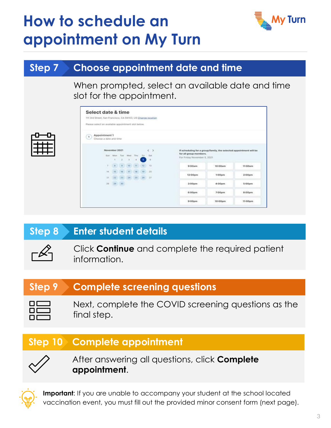

### **Step 7 Choose appointment date and time**

When prompted, select an available date and time slot for the appointment.

|                                                             | Select date & time          |      |                                                        |   |                |                              |                                                       |                                                                    |                    |
|-------------------------------------------------------------|-----------------------------|------|--------------------------------------------------------|---|----------------|------------------------------|-------------------------------------------------------|--------------------------------------------------------------------|--------------------|
| 111 3rd Street, San Francisco, CA 94103, US Change location |                             |      |                                                        |   |                |                              |                                                       |                                                                    |                    |
| Please select an available appointment slot below.          |                             |      |                                                        |   |                |                              |                                                       |                                                                    |                    |
| Appointment 1<br>$\mathbf{1}$                               |                             |      |                                                        |   |                |                              |                                                       |                                                                    |                    |
| Choose a date and time                                      |                             |      |                                                        |   |                |                              |                                                       |                                                                    |                    |
|                                                             | November 2021               |      |                                                        |   |                | $\left\langle \right\rangle$ |                                                       | If scheduling for a group/family, the selected appointment will be |                    |
|                                                             | Sun Mon Tuè Wed Thu Fri Sat |      |                                                        |   |                |                              | for all group members.<br>For Friday November 5, 2021 |                                                                    |                    |
|                                                             | 1                           | $-2$ | $\mathcal{D}_1$                                        | × | 5 <sup>1</sup> | $\overline{u}$               |                                                       |                                                                    |                    |
| $\overline{\mathcal{X}}$                                    |                             |      | $8$ $9$ $10$ $11$ $12$                                 |   |                | 13                           | 9:00am                                                | 10:00am                                                            | 11:00am            |
| 34                                                          | 15                          |      | $10$ $17$ $18$ $19$ $20$                               |   |                |                              |                                                       |                                                                    |                    |
| 21                                                          |                             |      | $22 \qquad 23 \qquad 24 \qquad 25 \qquad 26 \qquad 27$ |   |                |                              | 12:00pm                                               | $1:000$ m                                                          | 2:00 <sub>pm</sub> |
|                                                             | 28 29 30                    |      |                                                        |   |                |                              | 3:00pm                                                | 4:00pm                                                             | 5:00 <sub>pm</sub> |
|                                                             |                             |      |                                                        |   |                |                              | 6:00pm                                                | 7-00pm                                                             | 8:00 <sub>pm</sub> |
|                                                             |                             |      |                                                        |   |                |                              |                                                       |                                                                    |                    |

### **Step 8 Enter student details**



Click **Continue** and complete the required patient information.

### **Step 9 Complete screening questions**

| I<br>ı |  |
|--------|--|
| I<br>ı |  |
| I<br>I |  |

Next, complete the COVID screening questions as the final step.

### **Step 10 Complete appointment**



After answering all questions, click **Complete appointment**.



**Important**: If you are unable to accompany your student at the school located vaccination event, you must fill out the provided minor consent form (next page).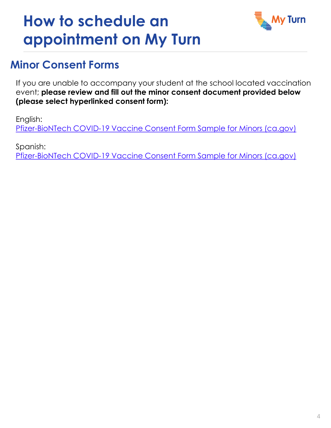

### <span id="page-3-0"></span>**Minor Consent Forms**

If you are unable to accompany your student at the school located vaccination event; **please review and fill out the minor consent document provided below (please select hyperlinked consent form):**

English: [Pfizer-BioNTech COVID-19 Vaccine Consent Form Sample for Minors \(ca.gov\)](https://www.cdph.ca.gov/Programs/CID/DCDC/CDPH%20Document%20Library/COVID-19/Pfizer-Minor-Consent-Form-Sample-INT-PDF-ADA.pdf)

Spanish: [Pfizer-BioNTech COVID-19 Vaccine Consent Form Sample for Minors \(ca.gov\)](https://www.cdph.ca.gov/Programs/CID/DCDC/CDPH%20Document%20Library/COVID-19/Translations/Pfizer-Minor-Consent-Form-Sample-ADA_Spanish.pdf)